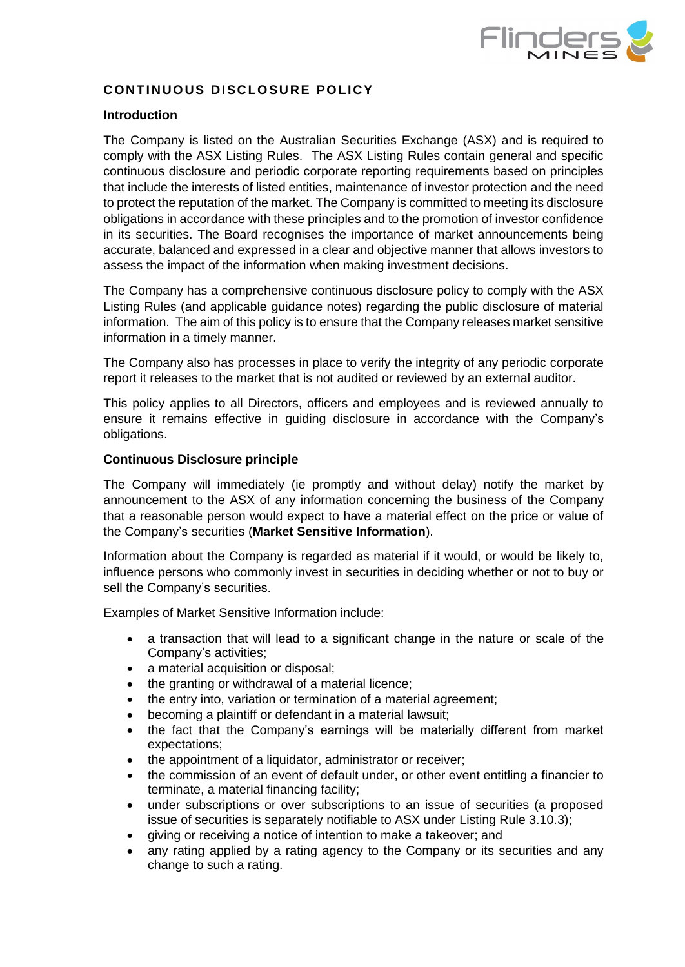

# **CONTINUO US DI SCLO SURE PO LICY**

#### **Introduction**

The Company is listed on the Australian Securities Exchange (ASX) and is required to comply with the ASX Listing Rules. The ASX Listing Rules contain general and specific continuous disclosure and periodic corporate reporting requirements based on principles that include the interests of listed entities, maintenance of investor protection and the need to protect the reputation of the market. The Company is committed to meeting its disclosure obligations in accordance with these principles and to the promotion of investor confidence in its securities. The Board recognises the importance of market announcements being accurate, balanced and expressed in a clear and objective manner that allows investors to assess the impact of the information when making investment decisions.

The Company has a comprehensive continuous disclosure policy to comply with the ASX Listing Rules (and applicable guidance notes) regarding the public disclosure of material information. The aim of this policy is to ensure that the Company releases market sensitive information in a timely manner.

The Company also has processes in place to verify the integrity of any periodic corporate report it releases to the market that is not audited or reviewed by an external auditor.

This policy applies to all Directors, officers and employees and is reviewed annually to ensure it remains effective in guiding disclosure in accordance with the Company's obligations.

#### **Continuous Disclosure principle**

The Company will immediately (ie promptly and without delay) notify the market by announcement to the ASX of any information concerning the business of the Company that a reasonable person would expect to have a material effect on the price or value of the Company's securities (**Market Sensitive Information**).

Information about the Company is regarded as material if it would, or would be likely to, influence persons who commonly invest in securities in deciding whether or not to buy or sell the Company's securities.

Examples of Market Sensitive Information include:

- a transaction that will lead to a significant change in the nature or scale of the Company's activities;
- a material acquisition or disposal;
- the granting or withdrawal of a material licence;
- the entry into, variation or termination of a material agreement;
- becoming a plaintiff or defendant in a material lawsuit;
- the fact that the Company's earnings will be materially different from market expectations;
- the appointment of a liquidator, administrator or receiver;
- the commission of an event of default under, or other event entitling a financier to terminate, a material financing facility;
- under subscriptions or over subscriptions to an issue of securities (a proposed issue of securities is separately notifiable to ASX under Listing Rule 3.10.3);
- giving or receiving a notice of intention to make a takeover; and
- any rating applied by a rating agency to the Company or its securities and any change to such a rating.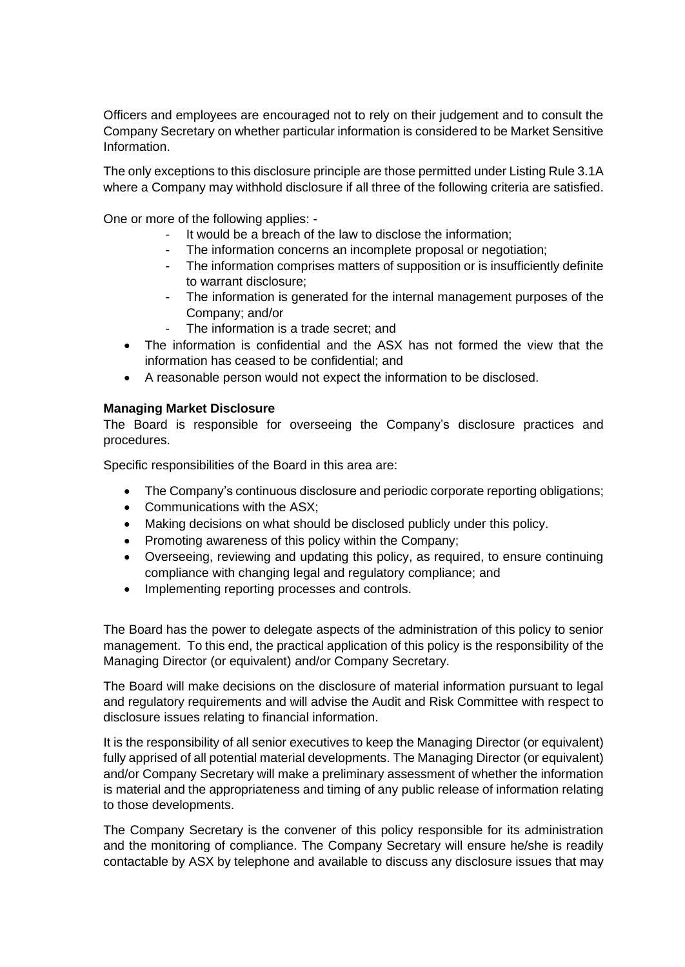Officers and employees are encouraged not to rely on their judgement and to consult the Company Secretary on whether particular information is considered to be Market Sensitive Information.

The only exceptions to this disclosure principle are those permitted under Listing Rule 3.1A where a Company may withhold disclosure if all three of the following criteria are satisfied.

One or more of the following applies: -

- It would be a breach of the law to disclose the information;
- The information concerns an incomplete proposal or negotiation;
- The information comprises matters of supposition or is insufficiently definite to warrant disclosure;
- The information is generated for the internal management purposes of the Company; and/or
- The information is a trade secret; and
- The information is confidential and the ASX has not formed the view that the information has ceased to be confidential; and
- A reasonable person would not expect the information to be disclosed.

#### **Managing Market Disclosure**

The Board is responsible for overseeing the Company's disclosure practices and procedures.

Specific responsibilities of the Board in this area are:

- The Company's continuous disclosure and periodic corporate reporting obligations;
- Communications with the ASX;
- Making decisions on what should be disclosed publicly under this policy.
- Promoting awareness of this policy within the Company;
- Overseeing, reviewing and updating this policy, as required, to ensure continuing compliance with changing legal and regulatory compliance; and
- Implementing reporting processes and controls.

The Board has the power to delegate aspects of the administration of this policy to senior management. To this end, the practical application of this policy is the responsibility of the Managing Director (or equivalent) and/or Company Secretary.

The Board will make decisions on the disclosure of material information pursuant to legal and regulatory requirements and will advise the Audit and Risk Committee with respect to disclosure issues relating to financial information.

It is the responsibility of all senior executives to keep the Managing Director (or equivalent) fully apprised of all potential material developments. The Managing Director (or equivalent) and/or Company Secretary will make a preliminary assessment of whether the information is material and the appropriateness and timing of any public release of information relating to those developments.

The Company Secretary is the convener of this policy responsible for its administration and the monitoring of compliance. The Company Secretary will ensure he/she is readily contactable by ASX by telephone and available to discuss any disclosure issues that may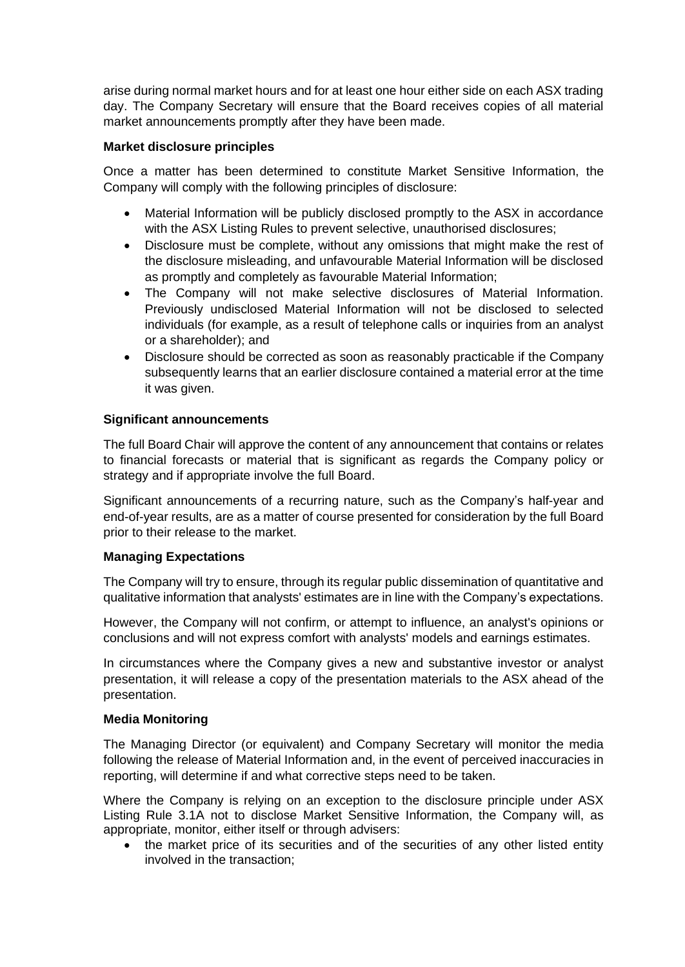arise during normal market hours and for at least one hour either side on each ASX trading day. The Company Secretary will ensure that the Board receives copies of all material market announcements promptly after they have been made.

## **Market disclosure principles**

Once a matter has been determined to constitute Market Sensitive Information, the Company will comply with the following principles of disclosure:

- Material Information will be publicly disclosed promptly to the ASX in accordance with the ASX Listing Rules to prevent selective, unauthorised disclosures;
- Disclosure must be complete, without any omissions that might make the rest of the disclosure misleading, and unfavourable Material Information will be disclosed as promptly and completely as favourable Material Information;
- The Company will not make selective disclosures of Material Information. Previously undisclosed Material Information will not be disclosed to selected individuals (for example, as a result of telephone calls or inquiries from an analyst or a shareholder); and
- Disclosure should be corrected as soon as reasonably practicable if the Company subsequently learns that an earlier disclosure contained a material error at the time it was given.

# **Significant announcements**

The full Board Chair will approve the content of any announcement that contains or relates to financial forecasts or material that is significant as regards the Company policy or strategy and if appropriate involve the full Board.

Significant announcements of a recurring nature, such as the Company's half-year and end-of-year results, are as a matter of course presented for consideration by the full Board prior to their release to the market.

## **Managing Expectations**

The Company will try to ensure, through its regular public dissemination of quantitative and qualitative information that analysts' estimates are in line with the Company's expectations.

However, the Company will not confirm, or attempt to influence, an analyst's opinions or conclusions and will not express comfort with analysts' models and earnings estimates.

In circumstances where the Company gives a new and substantive investor or analyst presentation, it will release a copy of the presentation materials to the ASX ahead of the presentation.

## **Media Monitoring**

The Managing Director (or equivalent) and Company Secretary will monitor the media following the release of Material Information and, in the event of perceived inaccuracies in reporting, will determine if and what corrective steps need to be taken.

Where the Company is relying on an exception to the disclosure principle under ASX Listing Rule 3.1A not to disclose Market Sensitive Information, the Company will, as appropriate, monitor, either itself or through advisers:

• the market price of its securities and of the securities of any other listed entity involved in the transaction;